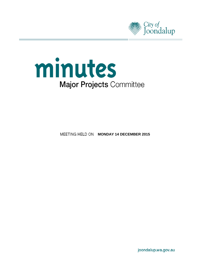



**MEETING HELD ON MONDAY 14 DECEMBER 2015** 

joondalup.wa.gov.au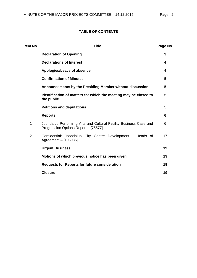# **TABLE OF CONTENTS**

| Item No.       | <b>Title</b>                                                                                              | Page No. |
|----------------|-----------------------------------------------------------------------------------------------------------|----------|
|                | <b>Declaration of Opening</b>                                                                             | 3        |
|                | <b>Declarations of Interest</b>                                                                           | 4        |
|                | Apologies/Leave of absence                                                                                | 4        |
|                | <b>Confirmation of Minutes</b>                                                                            | 5        |
|                | Announcements by the Presiding Member without discussion                                                  | 5        |
|                | Identification of matters for which the meeting may be closed to<br>the public                            | 5        |
|                | <b>Petitions and deputations</b>                                                                          | 5        |
|                | <b>Reports</b>                                                                                            | 6        |
| $\mathbf 1$    | Joondalup Performing Arts and Cultural Facility Business Case and<br>Progression Options Report - [75577] | 6        |
| $\overline{2}$ | Confidential: Joondalup City Centre Development - Heads of<br>Agreement - [103036]                        | 17       |
|                | <b>Urgent Business</b>                                                                                    | 19       |
|                | Motions of which previous notice has been given                                                           | 19       |
|                | <b>Requests for Reports for future consideration</b>                                                      | 19       |
|                | <b>Closure</b>                                                                                            | 19       |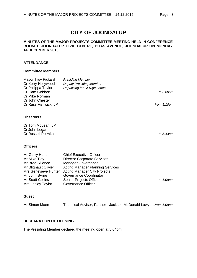#### **MINUTES OF THE MAJOR PROJECTS COMMITTEE MEETING HELD IN CONFERENCE ROOM 1, JOONDALUP CIVIC CENTRE, BOAS AVENUE, JOONDALUP ON MONDAY 14 DECEMBER 2015.**

## **ATTENDANCE**

## **Committee Members**

| Mayor Troy Pickard<br>Cr Kerry Hollywood<br>Cr Philippa Taylor<br>Cr Liam Gobbert<br>Cr Mike Norman<br>Cr John Chester<br>Cr Russ Fishwick, JP                            | <b>Presiding Member</b><br><b>Deputy Presiding Member</b><br>Deputising for Cr Nige Jones                                                                                                                                                                             | to 6.08pm<br>from 5.10pm |
|---------------------------------------------------------------------------------------------------------------------------------------------------------------------------|-----------------------------------------------------------------------------------------------------------------------------------------------------------------------------------------------------------------------------------------------------------------------|--------------------------|
| <b>Observers</b>                                                                                                                                                          |                                                                                                                                                                                                                                                                       |                          |
| Cr Tom McLean, JP<br>Cr John Logan<br>Cr Russell Poliwka                                                                                                                  |                                                                                                                                                                                                                                                                       | to 5.43pm                |
| <b>Officers</b>                                                                                                                                                           |                                                                                                                                                                                                                                                                       |                          |
| Mr Garry Hunt<br>Mr Mike Tidy<br>Mr Brad Sillence<br>Mr Blignault Olivier<br><b>Mrs Genevieve Hunter</b><br>Mr John Byrne<br><b>Mr Scott Collins</b><br>Mrs Lesley Taylor | <b>Chief Executive Officer</b><br><b>Director Corporate Services</b><br><b>Manager Governance</b><br><b>Acting Manager Planning Services</b><br><b>Acting Manager City Projects</b><br>Governance Coordinator<br>Senior Projects Officer<br><b>Governance Officer</b> | to 6.08pm                |

# **Guest**

Mr Simon Moen Technical Advisor, Partner - Jackson McDonald Lawyers*from 6.08pm*

## <span id="page-2-0"></span>**DECLARATION OF OPENING**

The Presiding Member declared the meeting open at 5.04pm.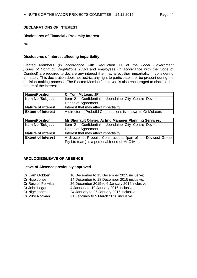# <span id="page-3-0"></span>**DECLARATIONS OF INTEREST**

## **Disclosures of Financial / Proximity Interest**

Nil.

## **Disclosures of interest affecting impartiality**

Elected Members (in accordance with Regulation 11 of the *Local Government [Rules of Conduct] Regulations 2007)* and employees (in accordance with the Code of Conduct) are required to declare any interest that may affect their impartiality in considering a matter. This declaration does not restrict any right to participate in or be present during the decision-making process. The Elected Member/employee is also encouraged to disclose the nature of the interest.

| <b>Name/Position</b>      | Cr Tom McLean, JP.                                          |  |
|---------------------------|-------------------------------------------------------------|--|
| <b>Item No./Subject</b>   | Item 2 - Confidential - Joondalup City Centre Development - |  |
|                           | Heads of Agreement.                                         |  |
| <b>Nature of interest</b> | Interest that may affect impartiality.                      |  |
| <b>Extent of Interest</b> | A director of Probuild Constructions is known to Cr McLean. |  |

| <b>Name/Position</b>      | Mr Blignault Olivier, Acting Manager Planning Services.         |
|---------------------------|-----------------------------------------------------------------|
| <b>Item No./Subject</b>   | Item 2 - Confidential - Joondalup City Centre Development -     |
|                           | Heads of Agreement.                                             |
| <b>Nature of interest</b> | Interest that may affect impartiality.                          |
| <b>Extent of Interest</b> | A director at Probuild Constructions (part of the Devwest Group |
|                           | Pty Ltd team) is a personal friend of Mr Olivier.               |

## <span id="page-3-1"></span>**APOLOGIES/LEAVE OF ABSENCE**

## **Leave of Absence previously approved**

| Cr Liam Gobbert    | 10 December to 15 December 2015 inclusive;    |
|--------------------|-----------------------------------------------|
| Cr Nige Jones      | 14 December to 18 December 2015 inclusive;    |
| Cr Russell Poliwka | 26 December 2015 to 6 January 2016 inclusive; |
| Cr John Logan      | 4 January to 10 January 2016 inclusive;       |
| Cr Nige Jones      | 24 January to 26 January 2016 inclusive;      |
| Cr Mike Norman     | 21 February to 5 March 2016 inclusive.        |
|                    |                                               |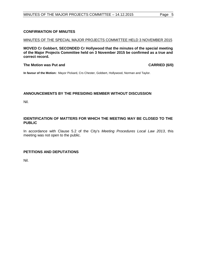## <span id="page-4-0"></span>**CONFIRMATION OF MINUTES**

#### MINUTES OF THE SPECIAL MAJOR PROJECTS COMMITTEE HELD 3 NOVEMBER 2015

**MOVED Cr Gobbert, SECONDED Cr Hollywood that the minutes of the special meeting of the Major Projects Committee held on 3 November 2015 be confirmed as a true and correct record.**

#### **The Motion was Put and CARRIED (6/0)**

**In favour of the Motion:** Mayor Pickard, Crs Chester, Gobbert, Hollywood, Norman and Taylor.

## <span id="page-4-1"></span>**ANNOUNCEMENTS BY THE PRESIDING MEMBER WITHOUT DISCUSSION**

Nil.

## <span id="page-4-2"></span>**IDENTIFICATION OF MATTERS FOR WHICH THE MEETING MAY BE CLOSED TO THE PUBLIC**

In accordance with Clause 5.2 of the City's *Meeting Procedures Local Law 2013*, this meeting was not open to the public.

## <span id="page-4-3"></span>**PETITIONS AND DEPUTATIONS**

Nil.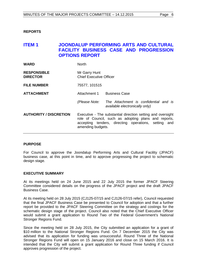## <span id="page-5-0"></span>**REPORTS**

# <span id="page-5-1"></span>**ITEM 1 JOONDALUP PERFORMING ARTS AND CULTURAL FACILITY BUSINESS CASE AND PROGRESSION OPTIONS REPORT**

| <b>WARD</b>                           | <b>North</b>                                                                                                                                                                                     |                                                                         |
|---------------------------------------|--------------------------------------------------------------------------------------------------------------------------------------------------------------------------------------------------|-------------------------------------------------------------------------|
| <b>RESPONSIBLE</b><br><b>DIRECTOR</b> | Mr Garry Hunt<br><b>Chief Executive Officer</b>                                                                                                                                                  |                                                                         |
| <b>FILE NUMBER</b>                    | 75577, 101515                                                                                                                                                                                    |                                                                         |
| <b>ATTACHMENT</b>                     | Attachment 1                                                                                                                                                                                     | <b>Business Case</b>                                                    |
|                                       | (Please Note:                                                                                                                                                                                    | The Attachment is confidential and is<br>available electronically only) |
| <b>AUTHORITY / DISCRETION</b>         | Executive - The substantial direction setting and oversight<br>role of Council, such as adopting plans and reports,<br>accepting tenders, directing operations, setting and<br>amending budgets. |                                                                         |

## **PURPOSE**

For Council to approve the Joondalup Performing Arts and Cultural Facility (JPACF) business case, at this point in time, and to approve progressing the project to schematic design stage.

#### **EXECUTIVE SUMMARY**

At its meetings held on 24 June 2015 and 22 July 2015 the former JPACF Steering Committee considered details on the progress of the JPACF project and the draft JPACF Business Case.

At its meeting held on 28 July 2015 (CJ125-07/15 and CJ126-07/15 refer), Council requested that the final JPACF Business Case be presented to Council for adoption and that a further report be provided to the JPACF Steering Committee on the strategy and costings for the schematic design stage of the project. Council also noted that the Chief Executive Officer would submit a grant application to Round Two of the Federal Government's National Stronger Regions Fund.

Since the meeting held on 28 July 2015, the City submitted an application for a grant of \$10 million to the National Stronger Regions Fund. On 7 December 2015 the City was advised that its application for funding was unsuccessful. Round Three of the National Stronger Regions Fund will open on 15 January 2016 and close on 15 March 2016. It is intended that the City will submit a grant application for Round Three funding if Council approves progression of the project.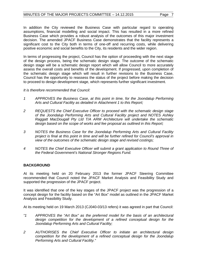In addition the City reviewed the Business Case with particular regard to operating assumptions, financial modelling and social impact. This has resulted in a more refined Business Case which provides a robust analysis of the outcomes of this major investment decision. The amended JPACF Business Case demonstrates that the facility represents a significant cost to the City both in terms of one-off and recurring costs, while delivering positive economic and social benefits to the City, its residents and the wider region.

In terms of progressing the project, Council has the option of proceeding with the next stage of the design process, being the schematic design stage. The outcome of the schematic design stage will be a schematic design report which will allow Council to more accurately assess the overall costs and benefits of the development. If progressed, upon completion of the schematic design stage which will result in further revisions to the Business Case, Council has the opportunity to reassess the status of the project before making the decision to proceed to design development stage, which represents further significant investment.

*It is therefore recommended that Council:*

- *1 APPROVES the Business Case, at this point in time, for the Joondalup Performing Arts and Cultural Facility as detailed in Attachment 1 to this Report;*
- *2 REQUESTS the Chief Executive Officer to proceed with the schematic design stage of the Joondalup Performing Arts and Cultural Facility project and NOTES Ashley Raggatt MacDougall Pty Ltd T/A ARM Architecture will undertake the schematic design based on the scope of works and fee proposal as outlined in this Report;*
- *3 NOTES the Business Case for the Joondalup Performing Arts and Cultural Facility project is final at this point in time and will be further refined for Council's approval in view of the outcomes of the schematic design stage and revised costings;*
- *4 NOTES the Chief Executive Officer will submit a grant application to Round Three of the Federal Government's National Stronger Regions Fund.*

# **BACKGROUND**

At its meeting held on 20 February 2013 the former JPACF Steering Committee recommended that Council noted the JPACF Market Analysis and Feasibility Study and supported the progression of the JPACF project.

It was identified that one of the key stages of the JPACF project was the progression of a concept design for the facility based on the "Art Box" model as outlined in the JPACF Market Analysis and Feasibility Study.

At its meeting held on 19 March 2013 (CJ040-03/13 refers) it was agreed in part that Council:

- *"1 APPROVES the "Art Box" as the preferred model for the basis of an architectural design competition for the development of a refined conceptual design for the Joondalup Performing Arts and Cultural Facility;*
- *2 AUTHORISES the Chief Executive Officer to initiate an architectural design competition for the development of a refined conceptual design for the Joondalup Performing Arts and Cultural Facility."*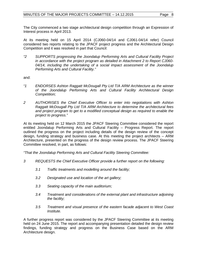The City commenced a two stage architectural design competition through an Expression of Interest process in April 2013.

At its meeting held on 15 April 2014 (CJ060-04/14 and CJ061-04/14 refer) Council considered two reports relating to the JPACF project progress and the Architectural Design Competition and it was resolved in part that Council:

*"2 SUPPORTS progressing the Joondalup Performing Arts and Cultural Facility Project in accordance with the project program as detailed in Attachment 2 to Report CJ060- 04/14, including the undertaking of a social impact assessment of the Joondalup Performing Arts and Cultural Facility."*

and:

- *"1 ENDORSES Ashton Raggatt McDougall Pty Ltd T/A ARM Architecture as the winner of the Joondalup Performing Arts and Cultural Facility Architectural Design Competition;*
- *2 AUTHORISES the Chief Executive Officer to enter into negotiations with Ashton Raggatt McDougall Pty Ltd T/A ARM Architecture to determine the architectural fees and project program to get to a modified conceptual design as required to enable the project to progress."*

At its meeting held on 12 March 2015 the JPACF Steering Committee considered the report entitled Joondalup Performing Arts and Cultural Facility - Progress Report. The report outlined the progress on the project including details of the design review of the concept design, funding strategy and business case. At this meeting the project architects – ARM Architecture, presented on the progress of the design review process. The JPACF Steering Committee resolved, in part, as follows:

*"That the Joondalup Performing Arts and Cultural Facility Steering Committee:*

- *3 REQUESTS the Chief Executive Officer provide a further report on the following:*
	- *3.1 Traffic treatments and modelling around the facility;*
	- *3.2 Designated use and location of the art gallery;*
	- *3.3 Seating capacity of the main auditorium;*
	- *3.4 Treatment and considerations of the external plant and infrastructure adjoining the facility;*
	- *3.5 Treatment and visual presence of the eastern facade adjacent to West Coast Institute.*

A further progress report was considered by the JPACF Steering Committee at its meeting held on 24 June 2015. The report and accompanying presentation detailed the design review findings, funding strategy and progress on the Business Case based on the ARM Architecture design.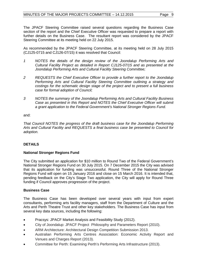The JPACF Steering Committee raised several questions regarding the Business Case section of the report and the Chief Executive Officer was requested to prepare a report with further details on the Business Case. The resultant report was considered by the JPACF Steering Committee at its meeting held on 22 July 2015.

As recommended by the JPACF Steering Committee, at its meeting held on 28 July 2015 (CJ125-0715 and CJ126-07/15) it was resolved that Council:

- *1 NOTES the details of the design review of the Joondalup Performing Arts and Cultural Facility Project as detailed in Report CJ125-07/15 and as presented at the Joondalup Performing Arts and Cultural Facility Steering Committee;*
- *2 REQUESTS the Chief Executive Officer to provide a further report to the Joondalup Performing Arts and Cultural Facility Steering Committee outlining a strategy and costings for the schematic design stage of the project and to present a full business case for formal adoption of Council;*
- *3 NOTES the summary of the Joondalup Performing Arts and Cultural Facility Business Case as presented in this Report and NOTES the Chief Executive Officer will submit a grant application to the Federal Government's National Stronger Regions Fund.*

and:

*That Council NOTES the progress of the draft business case for the Joondalup Performing Arts and Cultural Facility and REQUESTS a final business case be presented to Council for adoption.*

## **DETAILS**

## **National Stronger Regions Fund**

The City submitted an application for \$10 million to Round Two of the Federal Government's National Stronger Regions Fund on 30 July 2015. On 7 December 2015 the City was advised that its application for funding was unsuccessful. Round Three of the National Stronger Regions Fund will open on 15 January 2016 and close on 15 March 2016. It is intended that, pending feedback on the City's Stage Two application, the City will apply for Round Three funding if Council approves progression of the project.

## **Business Case**

The Business Case has been developed over several years with input from expert consultants, performing arts facility managers, staff from the Department of Culture and the Arts and Perth Theatre Trust and other key stakeholders. The Business Case has input from several key data sources, including the following:

- Pracsys: JPACF Market Analysis and Feasibility Study (2012).
- City of Joondalup: JPACF Project Philosophy and Parameters Report (2010).
- ARM Architecture: Architectural Design Competition Submission 2013.
- Australian Performing Arts Centres Association: Economic Activity Report and Venues and Charges Report (2013).
- Committee for Perth: Examining Perth's Performing Arts Infrastructure (2013).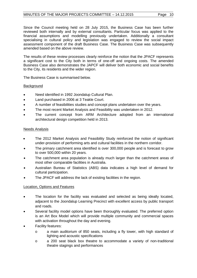Since the Council meeting held on 28 July 2015, the Business Case has been further reviewed both internally and by external consultants. Particular focus was applied to the financial assumptions and modelling previously undertaken. Additionally a consultant specialising in cultural policy and legislation was engaged to review the social impact assessment component of the draft Business Case. The Business Case was subsequently amended based on the above review.

The results of these review processes clearly reinforce the notion that the JPACF represents a significant cost to the City both in terms of one-off and ongoing costs. The amended Business Case also demonstrates the JAPCF will deliver both economic and social benefits to the City, its residents and the wider region.

The Business Case is summarised below.

## **Background**

- Need identified in 1992 Joondalup Cultural Plan.
- Land purchased in 2006 at 3 Teakle Court.
- A number of feasibilities studies and concept plans undertaken over the years.
- The most recent Market Analysis and Feasibility was undertaken in 2012.
- The current concept from ARM Architecture adopted from an international architectural design competition held in 2013.

## Needs Analysis

- The 2012 Market Analysis and Feasibility Study reinforced the notion of significant under-provision of performing arts and cultural facilities in the northern corridor.
- The primary catchment area identified is over 300,000 people and is forecast to grow to over 500,000 within 20 years.
- The catchment area population is already much larger than the catchment areas of most other comparable facilities in Australia.
- Australian Bureau of Statistics (ABS) data indicates a high level of demand for cultural participation.
- The JPACF will address the lack of existing facilities in the region.

# Location, Options and Features

- The location for the facility was evaluated and selected as being ideally located, adjacent to the Joondalup Learning Precinct with excellent access by public transport and roads.
- Several facility model options have been thoroughly evaluated. The preferred option is an Art Box Model which will provide multiple community and commercial spaces with activation throughout the day and evening.
- Facility features:
	- o a main auditorium of 850 seats, including a fly tower, with high standard of lighting and acoustic specifications
	- o a 200 seat black box theatre to accommodate a variety of non-traditional theatre stagings and performances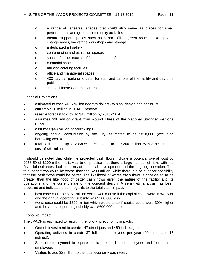- o a range of rehearsal spaces that could also serve as places for small performances and general community activities
- o theatre support spaces such as a box office, green room, make up and change areas, backstage workshops and storage
- o a dedicated art gallery
- o conferencing and exhibition spaces
- o spaces for the practice of fine arts and crafts
- o curatorial space
- o bar and catering facilities
- o office and managerial spaces
- o 400 bay car parking to cater for staff and patrons of the facility and day-time public parking
- o Jinan Chinese Cultural Garden.

## Financial Projections

- estimated to cost \$97.6 million (today's dollars) to plan, design and construct
- currently \$18 million in JPACF reserve
- reserve forecast to grow to \$45 million by 2018-2019
- assumes \$10 million grant from Round Three of the National Stronger Regions Fund
- assumes \$48 million of borrowings
- ongoing annual contribution by the City, estimated to be \$818,000 (excluding borrowing costs)
- total cash impact up to 2058-59 is estimated to be \$200 million, with a net present cost of \$81 million.

It should be noted that while the projected cash flows indicate a potential overall cost by 2058-59 of \$200 million, it is vital to emphasise that there a large number of risks with the financial estimates, both in terms of the initial development and the ongoing operation. The total cash flows could be worse than the \$200 million, while there is also a lesser possibility that the cash flows could be better. The likelihood of worse cash flows is considered to be greater than the likelihood of better cash flows given the nature of the facility and its operations and the current state of the concept design. A sensitivity analysis has been prepared and indicates that in regards to the total cash impact:

- best case could be \$167 million which would arise if the capital costs were 10% lower and the annual operating subsidy was \$200,000 less
- worst case could be \$300 million which would arise if capital costs were 30% higher and the annual operating subsidy was \$600,000 more.

## Economic Impact

The JPACF is estimated to result in the following economic impacts:

- One-off investment to create 147 direct jobs and 469 indirect jobs.
- Operating activities to create 37 full time employees per year (20 direct and 17 indirect).
- Supplier employment to equate to six direct full time employees and four indirect employees.
- Visitors to add \$2 million to the local economy each year.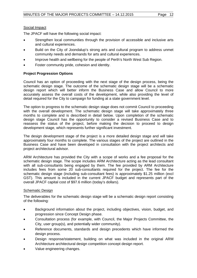# Social Impact

The JPACF will have the following social impact:

- Strengthen local communities through the provision of accessible and inclusive arts and cultural experiences.
- Build on the City of Joondalup's strong arts and cultural program to address unmet community needs and demands for arts and cultural experiences.
- Improve health and wellbeing for the people of Perth's North West Sub Region.
- Foster community pride, cohesion and identity.

# **Project Progression Options**

Council has an option of proceeding with the next stage of the design process, being the schematic design stage. The outcome of the schematic design stage will be a schematic design report which will better inform the Business Case and allow Council to more accurately assess the overall costs of the development, while also providing the level of detail required for the City to campaign for funding at a state government level.

The option to progress to the schematic design stage does not commit Council to proceeding with the overall development. The schematic design stage will take approximately three months to complete and is described in detail below. Upon completion of the schematic design stage Council has the opportunity to consider a revised Business Case and to reassess the status of the project, before making the decision to proceed to design development stage, which represents further significant investment.

The design development stage of the project is a more detailed design stage and will take approximately four months to complete. The various stages of the project are outlined in the Business Case and have been developed in consultation with the project architects and project architectural advisor.

ARM Architecture has provided the City with a scope of works and a fee proposal for the schematic design stage. The scope includes ARM Architecture acting as the lead consultant with all sub-consultants being engaged by them. The fee provided by ARM Architecture includes fees from some 20 sub-consultants required for the project. The fee for the schematic design stage (including sub-consultant fees) is approximately \$1.25 million (excl GST). This amount is included in the current JPACF budget and represents part of the overall JPACF capital cost of \$97.6 million (today's dollars).

# Schematic Design

The deliverables for the schematic design stage will be a schematic design report consisting of the following:

- Background information about the project, including objectives, vision, budget, and progression since Concept Design phase.
- Consultation process (for example, with Council, the Major Projects Committee, the City, user group(s), and potentially wider community).
- Reference documents, standards and design precedents which have informed the design process.
- Design response/statement, building on what was included in the original ARM Architecture architectural design competition concept design report.
- Value engineering changes.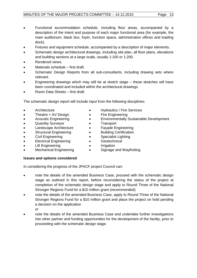- Functional accommodation schedule, including floor areas, accompanied by a description of the intent and purpose of each major functional area (for example, the main auditorium, black box, foyer, function space, administration offices and loading dock).
- Fixtures and equipment schedule, accompanied by a description of major elements.
- Schematic design architectural drawings, including site plan, all floor plans, elevations and building sections at a large scale, usually 1:100 or 1:200.
- Rendered views.
- Materials schedule first draft.
- Schematic Design Reports from all sub-consultants, including drawing sets where relevant.
- Engineering drawings which may still be at sketch stage these sketches will have been coordinated and included within the architectural drawings.
- Room Data Sheets first draft.

The schematic design report will include input from the following disciplines:

**Architecture** 

• Theatre + AV Design • Acoustic Engineering • Quantity Surveyor • Landscape Architecture • Structural Engineering • Civil Engineering • Electrical Engineering

- Hydraulics / Fire Services
- Fire Engineering
- Environmentally Sustainable Development
- Transport
- Façade Engineering
- Building Certification
- Specialist Lighting
- Geotechnical
- Lift Engineering • Mechanical Engineering
- Signage and Wayfinding

• Irrigation

# **Issues and options considered**

In considering the progress of the JPACF project Council can:

- note the details of the amended Business Case, proceed with the schematic design stage as outlined in this report, before reconsidering the status of the project at completion of the schematic design stage and apply to Round Three of the National Stronger Regions Fund for a \$10 million grant (recommended)
- note the details of the amended Business Case, apply to Round Three of the National Stronger Regions Fund for a \$10 million grant and place the project on hold pending a decision on the application
	- or
- note the details of the amended Business Case and undertake further investigations into other partner and funding opportunities for the development of the facility, prior to proceeding with the schematic design stage.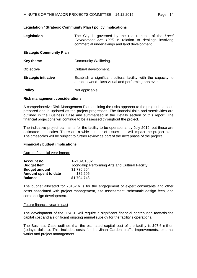## **Legislation / Strategic Community Plan / policy implications**

| Legislation | The City is governed by the requirements of the Local |  |
|-------------|-------------------------------------------------------|--|
|             | Government Act 1995 in relation to dealings involving |  |
|             | commercial undertakings and land development.         |  |

## **Strategic Community Plan**

| Key theme                   | Community Wellbeing.                                                                                                       |
|-----------------------------|----------------------------------------------------------------------------------------------------------------------------|
| <b>Objective</b>            | Cultural development.                                                                                                      |
| <b>Strategic initiative</b> | Establish a significant cultural facility with the capacity to<br>attract a world-class visual and performing arts events. |
| <b>Policy</b>               | Not applicable.                                                                                                            |

#### **Risk management considerations**

A comprehensive Risk Management Plan outlining the risks apparent to the project has been prepared and is updated as the project progresses. The financial risks and sensitivities are outlined in the Business Case and summarised in the Details section of this report. The financial projections will continue to be assessed throughout the project.

The indicative project plan aims for the facility to be operational by July 2019, but these are estimated timescales. There are a wide number of issues that will impact the project plan. The timescales will be subject to further review as part of the next phase of the project.

## **Financial / budget implications**

Current financial year impact

| Account no.          | 1-210-C1002                                      |
|----------------------|--------------------------------------------------|
| <b>Budget Item</b>   | Joondalup Performing Arts and Cultural Facility. |
| <b>Budget amount</b> | \$1,736,954                                      |
| Amount spent to date | \$32,206                                         |
| <b>Balance</b>       | \$1,704,748                                      |

The budget allocated for 2015-16 is for the engagement of expert consultants and other costs associated with project management, site assessment, schematic design fees, and some design development.

#### Future financial year impact

The development of the JPACF will require a significant financial contribution towards the capital cost and a significant ongoing annual subsidy for the facility's operations.

The Business Case outlines that the estimated capital cost of the facility is \$97.6 million (today's dollars). This includes costs for the Jinan Garden, traffic improvements, external works and project management.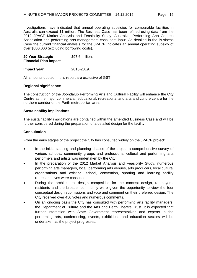Investigations have indicated that annual operating subsidies for comparable facilities in Australia can exceed \$1 million. The Business Case has been refined using data from the 2012 JPACF Market Analysis and Feasibility Study, Australian Performing Arts Centres Association and performing arts management consultant input. As detailed in the Business Case the current financial analysis for the JPACF indicates an annual operating subsidy of over \$800,000 (excluding borrowing costs).

**20 Year Strategic Financial Plan impact**  \$97.6 million.

## **Impact year** 2018-2019.

All amounts quoted in this report are exclusive of GST.

## **Regional significance**

The construction of the Joondalup Performing Arts and Cultural Facility will enhance the City Centre as the major commercial, educational, recreational and arts and culture centre for the northern corridor of the Perth metropolitan area.

## **Sustainability implications**

The sustainability implications are contained within the amended Business Case and will be further considered during the preparation of a detailed design for the facility.

## **Consultation**

From the early stages of the project the City has consulted widely on the JPACF project:

- In the initial scoping and planning phases of the project a comprehensive survey of various schools, community groups and professional cultural and performing arts performers and artists was undertaken by the City.
- In the preparation of the 2012 Market Analysis and Feasibility Study, numerous performing arts managers, local, performing arts venues, arts producers, local cultural organisations and existing, school, convention, sporting and learning facility representatives were consulted.
- During the architectural design competition for the concept design, ratepayers, residents and the broader community were given the opportunity to view the four conceptual design submissions and vote and comment on their preferred design. The City received over 450 votes and numerous comments.
- On an ongoing basis the City has consulted with performing arts facility managers, the Department of Culture and the Arts and Perth Theatre Trust. It is expected that further interaction with State Government representatives and experts in the performing arts, conferencing, events, exhibitions and education sectors will be undertaken as the project progresses.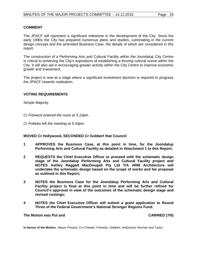#### **COMMENT**

The JPACF will represent a significant milestone in the development of the City. Since the early 1990s the City has prepared numerous plans and studies, culminating in the current design concept and the amended Business Case, the details of which are considered in this report.

The construction of a Performing Arts and Cultural Facility within the Joondalup City Centre is critical to achieving the City's aspirations of establishing a thriving cultural scene within the City. It will also aid in encouraging greater activity within the City Centre to improve economic growth and investment.

The project is now at a stage where a significant investment decision is required to progress the JPACF towards realisation.

#### **VOTING REQUIREMENTS**

Simple Majority.

*Cr Fishwick entered the room at 5.10pm.*

*Cr Poliwka left the meeting at 5.43pm.*

#### **MOVED Cr Hollywood, SECONDED Cr Gobbert that Council:**

- **1 APPROVES the Business Case, at this point in time, for the Joondalup Performing Arts and Cultural Facility as detailed in Attachment 1 to this Report;**
- **2 REQUESTS the Chief Executive Officer to proceed with the schematic design stage of the Joondalup Performing Arts and Cultural Facility project and NOTES Ashley Raggatt MacDougall Pty Ltd T/A ARM Architecture will undertake the schematic design based on the scope of works and fee proposal as outlined in this Report;**
- **3 NOTES the Business Case for the Joondalup Performing Arts and Cultural Facility project is final at this point in time and will be further refined for Council's approval in view of the outcomes of the schematic design stage and revised costings;**
- **4 NOTES the Chief Executive Officer will submit a grant application to Round Three of the Federal Government's National Stronger Regions Fund.**

**The Motion was Put and CARRIED (7/0)** 

**In favour of the Motion:** Mayor Pickard, Crs Chester, Fishwick, Gobbert, Hollywood, Norman and Taylor.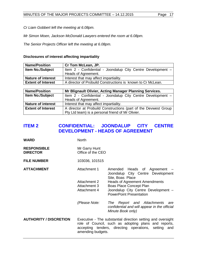*Cr Liam Gobbert left the meeting at 6.08pm.*

*Mr Simon Moen, Jackson McDonald Lawyers entered the room at 6.08pm.*

*The Senior Projects Officer left the meeting at 6.08pm.*

## **Disclosures of interest affecting impartiality**

| <b>Name/Position</b>      | Cr Tom McLean, JP.                                              |  |
|---------------------------|-----------------------------------------------------------------|--|
| Item No./Subject          | Item 2 - Confidential - Joondalup City Centre Development -     |  |
|                           | Heads of Agreement.                                             |  |
| <b>Nature of interest</b> | Interest that may affect impartiality.                          |  |
| <b>Extent of Interest</b> | A director of Probuild Constructions is known to Cr McLean.     |  |
|                           |                                                                 |  |
| <b>Name/Position</b>      | Mr Blignault Olivier, Acting Manager Planning Services.         |  |
| Item No./Subject          | Item 2 - Confidential - Joondalup City Centre Development -     |  |
|                           | Heads of Agreement.                                             |  |
| <b>Nature of interest</b> | Interest that may affect impartiality.                          |  |
| <b>Extent of Interest</b> | A director at Probuild Constructions (part of the Devwest Group |  |
|                           | Pty Ltd team) is a personal friend of Mr Olivier.               |  |

# <span id="page-16-0"></span>**ITEM 2 CONFIDENTIAL: JOONDALUP CITY CENTRE DEVELOPMENT - HEADS OF AGREEMENT**

| <b>WARD</b>                           | <b>North</b>                                                                                                                                                                                     |                                                                                                                                          |
|---------------------------------------|--------------------------------------------------------------------------------------------------------------------------------------------------------------------------------------------------|------------------------------------------------------------------------------------------------------------------------------------------|
| <b>RESPONSIBLE</b><br><b>DIRECTOR</b> | Mr Garry Hunt<br>Office of the CEO                                                                                                                                                               |                                                                                                                                          |
| <b>FILE NUMBER</b>                    | 103036, 101515                                                                                                                                                                                   |                                                                                                                                          |
| <b>ATTACHMENT</b>                     | Attachment 1                                                                                                                                                                                     | Amended Heads of Agreement -<br>Joondalup City Centre Development<br>Site, Boas Place                                                    |
|                                       | Attachment 2<br>Attachment 3<br>Attachment 4                                                                                                                                                     | <b>Heads of Agreement Amendments</b><br>Boas Place Concept Plan<br>Joondalup City Centre Development -<br><b>PowerPoint Presentation</b> |
|                                       |                                                                                                                                                                                                  |                                                                                                                                          |
|                                       | (Please Note:                                                                                                                                                                                    | The Report and Attachments are<br>confidential and will appear in the official<br>Minute Book only)                                      |
| <b>AUTHORITY / DISCRETION</b>         | Executive - The substantial direction setting and oversight<br>role of Council, such as adopting plans and reports,<br>accepting tenders, directing operations, setting and<br>amending budgets. |                                                                                                                                          |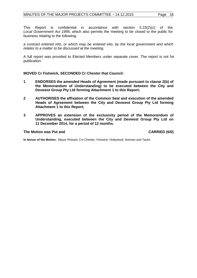This Report is confidential in accordance with section 5.23(2)(c) of the *Local Government Act 1995*, which also permits the meeting to be closed to the public for business relating to the following:

*a contract entered into, or which may be entered into, by the local government and which relates to a matter to be discussed at the meeting.*

A full report was provided to Elected Members under separate cover. The report is not for publication.

**MOVED Cr Fishwick, SECONDED Cr Chester that Council:**

- **1 ENDORSES the amended Heads of Agreement (made pursuant to clause 2(b) of the Memorandum of Understanding) to be executed between the City and Devwest Group Pty Ltd forming Attachment 1 to this Report;**
- **2 AUTHORISES the affixation of the Common Seal and execution of the amended Heads of Agreement between the City and Devwest Group Pty Ltd forming Attachment 1 to this Report;**
- **3 APPROVES an extension of the exclusivity period of the Memorandum of Understanding, executed between the City and Devwest Group Pty Ltd on 11 December 2014, for a period of 12 months.**

#### The Motion was Put and **CARRIED** (6/0)

**In favour of the Motion:** Mayor Pickard, Crs Chester, Fishwick, Hollywood, Norman and Taylor.